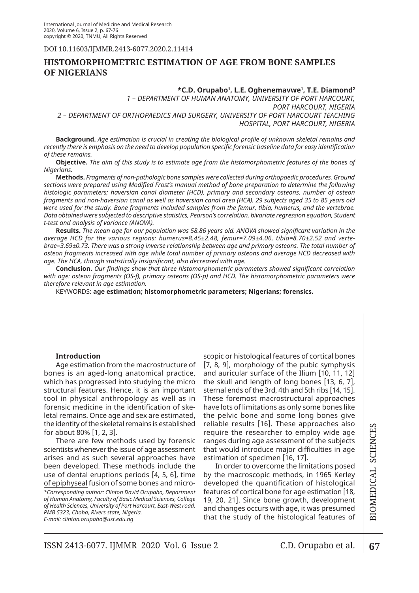DOI 10.11603/ijmmr.2413-6077.2020.2.11414

# **HISTOMORPHOMETRIC ESTIMATION OF AGE FROM BONE SAMPLES OF NIGERIANS**

## **\*C.D. Orupabo1 , L.E. Oghenemavwe1 , T.E. Diamond2**

*1 – DEPARTMENT OF HUMAN ANATOMY, UNIVERSITY OF PORT HARCOURT, PORT HARCOURT, NIGERIA 2 – DEPARTMENT OF ORTHOPAEDICS AND SURGERY, UNIVERSITY OF PORT HARCOURT TEACHING HOSPITAL, PORT HARCOURT, NIGERIA*

**Background.** *Age estimation is crucial in creating the biological profile of unknown skeletal remains and recently there is emphasis on the need to develop population specific forensic baseline data for easy identification of these remains.* 

**Objective.** *The aim of this study is to estimate age from the histomorphometric features of the bones of Nigerians.* 

**Methods.** *Fragments of non-pathologic bone samples were collected during orthopaedic procedures. Ground sections were prepared using Modified Frost's manual method of bone preparation to determine the following histologic parameters; haversian canal diameter (HCD), primary and secondary osteons, number of osteon fragments and non-haversian canal as well as haversian canal area (HCA). 29 subjects aged 35 to 85 years old were used for the study. Bone fragments included samples from the femur, tibia, humerus, and the vertebrae. Data obtained were subjected to descriptive statistics, Pearson's correlation, bivariate regression equation, Student t-test and analysis of variance (ANOVA).*

**Results.** *The mean age for our population was 58.86 years old. ANOVA showed significant variation in the average HCD for the various regions: humerus=8.45±2.48, femur=7.09±4.06, tibia=8.70±2.52 and vertebrae=3.69±0.73. There was a strong inverse relationship between age and primary osteons. The total number of osteon fragments increased with age while total number of primary osteons and average HCD decreased with age. The HCA, though statistically insignificant, also decreased with age.* 

**Conclusion.** *Our findings show that three histomorphometric parameters showed significant correlation with age: osteon fragments (OS-f), primary osteons (OS-p) and HCD. The histomorphometric parameters were therefore relevant in age estimation.*

KEYWORDS: **age estimation; histomorphometric parameters; Nigerians; forensics.**

# **Introduction**

Age estimation from the macrostructure of bones is an aged-long anatomical practice, which has progressed into studying the micro structural features. Hence, it is an important tool in physical anthropology as well as in forensic medicine in the identification of skeletal remains. Once age and sex are estimated, the identity of the skeletal remains is established for about 80% [1, 2, 3].

*\*Corresponding author: Clinton David Orupabo, Department of Human Anatomy, Faculty of Basic Medical Sciences, College of Health Sciences, University of Port Harcourt, East-West road, PMB 5323, Choba, Rivers state, Nigeria.*  There are few methods used by forensic scientists whenever the issue of age assessment arises and as such several approaches have been developed. These methods include the use of dental eruptions periods [4, 5, 6], time of epiphyseal fusion of some bones and micro-

*E-mail: clinton.orupabo@ust.edu.ng*

scopic or histological features of cortical bones [7, 8, 9], morphology of the pubic symphysis and auricular surface of the Ilium [10, 11, 12] the skull and length of long bones [13, 6, 7], sternal ends of the 3rd, 4th and 5th ribs [14, 15]. These foremost macrostructural approaches have lots of limitations as only some bones like the pelvic bone and some long bones give reliable results [16]. These approaches also require the researcher to employ wide age ranges during age assessment of the subjects that would introduce major difficulties in age estimation of specimen [16, 17].

In order to overcome the limitations posed by the macroscopic methods, in 1965 Kerley developed the quantification of histological features of cortical bone for age estimation [18, 19, 20, 21]. Since bone growth, development and changes occurs with age, it was presumed that the study of the histological features of **67**Biomedical Science s

67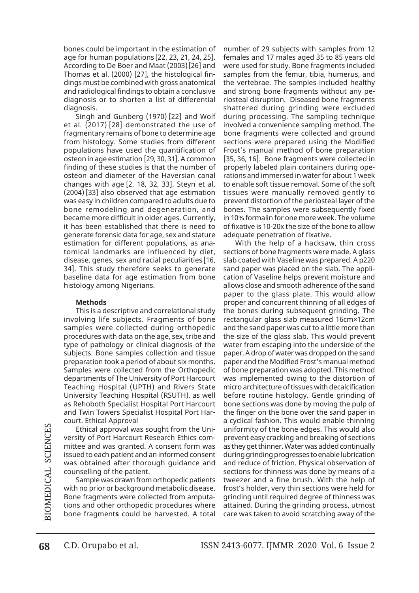bones could be important in the estimation of age for human populations [22, 23, 21, 24, 25]. According to De Boer and Maat (2003)[26] and Thomas et al. (2000) [27], the histological findings must be combined with gross anatomical and radiological findings to obtain a conclusive diagnosis or to shorten a list of differential diagnosis.

Singh and Gunberg (1970) [22] and Wolf et al. (2017) [28] demonstrated the use of fragmentary remains of bone to determine age from histology. Some studies from different populations have used the quantification of osteon in age estimation [29, 30, 31]. A common finding of these studies is that the number of osteon and diameter of the Haversian canal changes with age [2, 18, 32, 33]. Steyn et al. (2004) [33] also observed that age estimation was easy in children compared to adults due to bone remodeling and degeneration, and became more difficult in older ages. Currently, it has been established that there is need to generate forensic data for age, sex and stature estimation for different populations, as anatomical landmarks are influenced by diet, disease, genes, sex and racial peculiarities [16, 34]. This study therefore seeks to generate baseline data for age estimation from bone histology among Nigerians.

#### **Methods**

This is a descriptive and correlational study involving life subjects. Fragments of bone samples were collected during orthopedic procedures with data on the age, sex, tribe and type of pathology or clinical diagnosis of the subjects. Bone samples collection and tissue preparation took a period of about six months. Samples were collected from the Orthopedic departments of The University of Port Harcourt Teaching Hospital (UPTH) and Rivers State University Teaching Hospital (RSUTH), as well as Rehoboth Specialist Hospital Port Harcourt and Twin Towers Specialist Hospital Port Harcourt. Ethical Approval

Ethical approval was sought from the University of Port Harcourt Research Ethics committee and was granted. A consent form was issued to each patient and an informed consent was obtained after thorough guidance and counselling of the patient.

Sample was drawn from orthopedic patients with no prior or background metabolic disease. Bone fragments were collected from amputations and other orthopedic procedures where bone fragment**s** could be harvested. A total number of 29 subjects with samples from 12 females and 17 males aged 35 to 85 years old were used for study. Bone fragments included samples from the femur, tibia, humerus, and the vertebrae. The samples included healthy and strong bone fragments without any periosteal disruption. Diseased bone fragments shattered during grinding were excluded during processing. The sampling technique involved a convenience sampling method. The bone fragments were collected and ground sections were prepared using the Modified Frost's manual method of bone preparation [35, 36, 16]. Bone fragments were collected in properly labeled plain containers during operations and immersed in water for about 1 week to enable soft tissue removal. Some of the soft tissues were manually removed gently to prevent distortion of the periosteal layer of the bones. The samples were subsequently fixed in 10% formalin for one more week. The volume of fixative is 10-20х the size of the bone to allow adequate penetration of fixative.

With the help of a hacksaw, thin cross sections of bone fragments were made. A glass slab coated with Vaseline was prepared. A p220 sand paper was placed on the slab. The application of Vaseline helps prevent moisture and allows close and smooth adherence of the sand paper to the glass plate. This would allow proper and concurrent thinning of all edges of the bones during subsequent grinding. The rectangular glass slab measured 16cm×12cm and the sand paper was cut to a little more than the size of the glass slab. This would prevent water from escaping into the underside of the paper. A drop of water was dropped on the sand paper and the Modified Frost's manual method of bone preparation was adopted. This method was implemented owing to the distortion of micro architecture of tissues with decalcification before routine histology. Gentle grinding of bone sections was done by moving the pulp of the finger on the bone over the sand paper in a cyclical fashion. This would enable thinning uniformity of the bone edges. This would also prevent easy cracking and breaking of sections as they get thinner. Water was added continually during grinding progresses to enable lubrication and reduce of friction. Physical observation of sections for thinness was done by means of a tweezer and a fine brush. With the help of frost's holder, very thin sections were held for grinding until required degree of thinness was attained. During the grinding process, utmost care was taken to avoid scratching away of the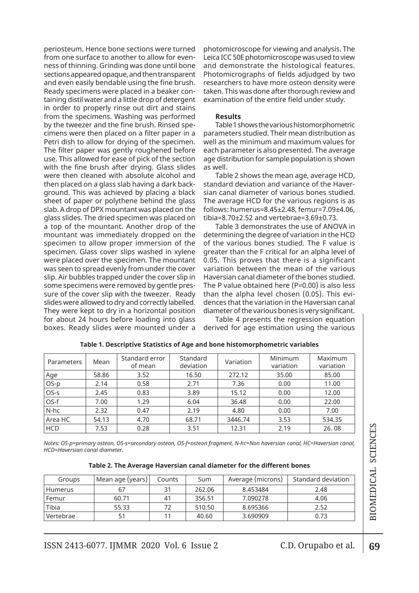periosteum. Hence bone sections were turned from one surface to another to allow for evenness of thinning. Grinding was done until bone sections appeared opaque, and then transparent and even easily bendable using the fine brush. Ready specimens were placed in a beaker containing distil water and a little drop of detergent in order to properly rinse out dirt and stains from the specimens. Washing was performed by the tweezer and the fine brush. Rinsed specimens were then placed on a filter paper in a Petri dish to allow for drying of the specimen. The filter paper was gently roughened before use. This allowed for ease of pick of the section with the fine brush after drying. Glass slides were then cleaned with absolute alcohol and then placed on a glass slab having a dark background. This was achieved by placing a black sheet of paper or polythene behind the glass slab. A drop of DPX mountant was placed on the glass slides. The dried specimen was placed on a top of the mountant. Another drop of the mountant was immediately dropped on the specimen to allow proper immersion of the specimen. Glass cover slips washed in xylene were placed over the specimen. The mountant was seen to spread evenly from under the cover slip. Air bubbles trapped under the cover slip in some specimens were removed by gentle pressure of the cover slip with the tweezer. Ready slides were allowed to dry and correctly labelled. They were kept to dry in a horizontal position for about 24 hours before loading into glass boxes. Ready slides were mounted under a

photomicroscope for viewing and analysis. The Leica ICC 50E photomicroscope was used to view and demonstrate the histological features. Photomicrographs of fields adjudged by two researchers to have more osteon density were taken. This was done after thorough review and examination of the entire field under study.

### **Results**

Table 1 shows the various histomorphometric parameters studied. Their mean distribution as well as the minimum and maximum values for each parameter is also presented. The average age distribution for sample population is shown as well.

Table 2 shows the mean age, average HCD, standard deviation and variance of the Haversian canal diameter of various bones studied. The average HCD for the various regions is as follows: humerus=8.45±2.48, femur=7.09±4.06, tibia=8.70±2.52 and vertebrae=3.69±0.73.

Table 3 demonstrates the use of ANOVA in determining the degree of variation in the HCD of the various bones studied. The F value is greater than the F critical for an alpha level of 0.05. This proves that there is a significant variation between the mean of the various Haversian canal diameter of the bones studied. The P value obtained here (P=0.00) is also less than the alpha level chosen (0.05). This evidences that the variation in the Haversian canal diameter of the various bones is very significant.

Table 4 presents the regression equation derived for age estimation using the various

| Parameters | Mean  | Standard error<br>of mean | Standard<br>deviation | Variation | Minimum<br>variation | Maximum<br>variation |
|------------|-------|---------------------------|-----------------------|-----------|----------------------|----------------------|
| Age        | 58.86 | 3.52                      | 16.50                 | 272.12    | 35.00                | 85.00                |
| OS-p       | 2.14  | 0.58                      | 2.71                  | 7.36      | 0.00                 | 11.00                |
| OS-s       | 2.45  | 0.83                      | 3.89                  | 15.12     | 0.00                 | 12.00                |
| OS-f       | 7.00  | 1.29                      | 6.04                  | 36.48     | 0.00                 | 22.00                |
| N-hc       | 2.32  | 0.47                      | 2.19                  | 4.80      | 0.00                 | 7.00                 |
| Area HC    | 54.13 | 4.70                      | 68.71                 | 3446.74   | 3.53                 | 534.35               |
| <b>HCD</b> | 7.53  | 0.28                      | 3.51                  | 12.31     | 2.19                 | 26.08                |

|  |  | Table 1. Descriptive Statistics of Age and bone histomorphometric variables |
|--|--|-----------------------------------------------------------------------------|
|--|--|-----------------------------------------------------------------------------|

*Notes: OS-p=primary osteon, OS-s=secondary osteon, OS-f=osteon fragment, N-hc=Non haversian canal, HC=Haversian canal, HCD=Haversian canal diameter.*

| Groups  | Mean age (years) | Counts | Sum    | Average (microns) | Standard deviation |
|---------|------------------|--------|--------|-------------------|--------------------|
| Humerus | 67               |        | 262.06 | 8.453484          | 2.48               |
| Femur   | 60.71            | 41     | 356.51 | 7.090278          | 4.06               |
| Tibia   | 55.33            |        | 510.50 | 8.695366          | 2.52               |

Vertebrae | 51 | 11 | 40.60 | 3.690909 | 0.73

**Table 2. The Average Haversian canal diameter for the different bones**

s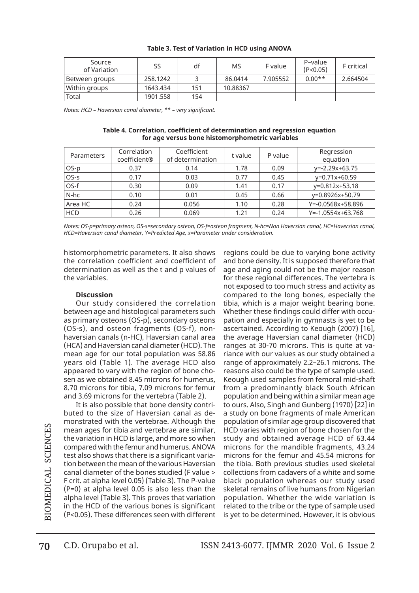| Source<br>of Variation | SS       | df  | MS       | F value  | P-value<br>(P<0.05) | F critical |
|------------------------|----------|-----|----------|----------|---------------------|------------|
| Between groups         | 258.1242 |     | 86.0414  | 7.905552 | $0.00**$            | 2.664504   |
| Within groups          | 1643.434 | 151 | 10.88367 |          |                     |            |
| Total                  | 1901.558 | 154 |          |          |                     |            |

#### **Table 3. Test of Variation in HCD using ANOVA**

*Notes: HCD – Haversian canal diameter, \*\* – very significant.*

| Table 4. Correlation, coefficient of determination and regression equation |  |
|----------------------------------------------------------------------------|--|
| for age versus bone histomorphometric variables                            |  |

| Parameters | Correlation<br>coefficient® | Coefficient<br>of determination | t value | P value | Regression<br>equation  |
|------------|-----------------------------|---------------------------------|---------|---------|-------------------------|
| OS-p       | 0.37                        | 0.14                            | 1.78    | 0.09    | $y=-2.29x+63.75$        |
| OS-s       | 0.17                        | 0.03                            | 0.77    | 0.45    | y=0.71x+60.59           |
| OS-f       | 0.30                        | 0.09                            | 1.41    | 0.17    | y=0.812x+53.18          |
| N-hc       | 0.10                        | 0.01                            | 0.45    | 0.66    | y=0.8926x+50.79         |
| Area HC    | 0.24                        | 0.056                           | 1.10    | 0.28    | Y=-0.0568x+58.896       |
| <b>HCD</b> | 0.26                        | 0.069                           | 1.21    | 0.24    | $Y = -1.0554x + 63.768$ |

*Notes: OS-p=primary osteon, OS-s=secondary osteon, OS-f=osteon fragment, N-hc=Non Haversian canal, HC=Haversian canal, HCD=Haversian canal diameter, Y=Predicted Age, x=Parameter under consideration.*

histomorphometric parameters. It also shows the correlation coefficient and coefficient of determination as well as the t and p values of the variables.

## **Discussion**

Our study considered the correlation between age and histological parameters such as primary osteons (OS-p), secondary osteons (OS-s), and osteon fragments (OS-f), nonhaversian canals (n-HC), Haversian canal area (HCA) and Haversian canal diameter (HCD). The mean age for our total population was 58.86 years old (Table 1). The average HCD also appeared to vary with the region of bone chosen as we obtained 8.45 microns for humerus, 8.70 microns for tibia, 7.09 microns for femur and 3.69 microns for the vertebra (Table 2).

It is also possible that bone density contributed to the size of Haversian canal as demonstrated with the vertebrae. Although the mean ages for tibia and vertebrae are similar, the variation in HCD is large, and more so when compared with the femur and humerus. ANOVA test also shows that there is a significant variation between the mean of the various Haversian canal diameter of the bones studied (F value > F crit. at alpha level 0.05) (Table 3). The P-value (P=0) at alpha level 0.05 is also less than the alpha level (Table 3). This proves that variation in the HCD of the various bones is significant (P<0.05). These differences seen with different

regions could be due to varying bone activity and bone density. It is supposed therefore that age and aging could not be the major reason for these regional differences. The vertebra is not exposed to too much stress and activity as compared to the long bones, especially the tibia, which is a major weight bearing bone. Whether these findings could differ with occupation and especially in gymnasts is yet to be ascertained. According to Keough (2007) [16], the average Haversian canal diameter (HCD) ranges at 30-70 microns. This is quite at variance with our values as our study obtained a range of approximately 2.2–26.1 microns. The reasons also could be the type of sample used. Keough used samples from femoral mid-shaft from a predominantly black South African population and being within a similar mean age to ours. Also, Singh and Gunberg (1970) [22] in a study on bone fragments of male American population of similar age group discovered that HCD varies with region of bone chosen for the study and obtained average HCD of 63.44 microns for the mandible fragments, 43.24 microns for the femur and 45.54 microns for the tibia. Both previous studies used skeletal collections from cadavers of a white and some black population whereas our study used skeletal remains of live humans from Nigerian population. Whether the wide variation is related to the tribe or the type of sample used is yet to be determined. However, it is obvious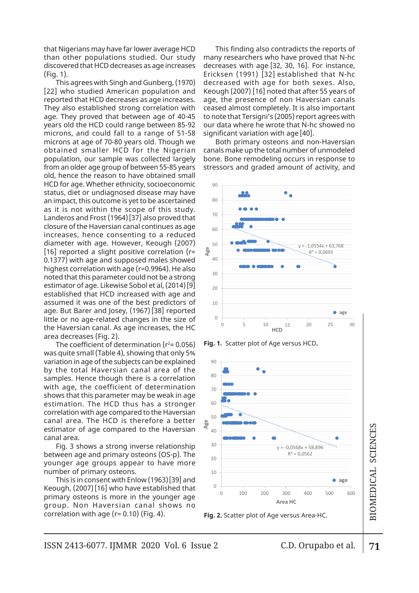that Nigerians may have far lower average HCD than other populations studied. Our study discovered that HCD decreases as age increases (Fig. 1).

This agrees with Singh and Gunberg, (1970) [22] who studied American population and reported that HCD decreases as age increases. They also established strong correlation with age. They proved that between age of 40-45 years old the HCD could range between 85-92 microns, and could fall to a range of 51-58 microns at age of 70-80 years old. Though we obtained smaller HCD for the Nigerian population, our sample was collected largely from an older age group of between 55-85 years<br>sld. hanse the weesen to have abtained amell old, hence the reason to have obtained small HCD for age. Whether ethnicity, socioeconomic status, diet or undiagnosed disease may have an impact, this outcome is yet to be ascertained as it is not within the scope of this study. Landeros and Frost (1964)[37] also proved that closure of the Haversian canal continues as age increases, hence consenting to a reduced diameter with age. However, Keough (2007) [16] reported a slight positive correlation (r= 0.1377) with age and supposed males showed highest correlation with age (r=0.9964). He also noted that this parameter could not be a strong estimator of age. Likewise Sobol et al, (2014)[9] established that HCD increased with age and assumed it was one of the best predictors of age. But Barer and Josey, (1967)[38] reported little or no age-related changes in the size of the Haversian canal. As age increases, the HC area decreases (Fig. 2).

The coefficient of determination ( $r^2$ = 0.056) was quite small (Table 4), showing that only 5% variation in age of the subjects can be explained by the total Haversian canal area of the samples. Hence though there is a correlation with age, the coefficient of determination shows that this parameter may be weak in age estimation. The HCD thus has a stronger correlation with age compared to the Haversian canal area. The HCD is therefore a better estimator of age compared to the Haversian canal area.

Fig. 3 shows a strong inverse relationship between age and primary osteons (OS-p). The younger age groups appear to have more number of primary osteons.

This is in consent with Enlow (1963)[39] and Keough, (2007)[16] who have established that primary osteons is more in the younger age group. Non Haversian canal shows no correlation with age  $(r= 0.10)$  (Fig. 4).

ge HCD This finding also contradicts the reports of many researchers who have proved that N-hc  $\frac{d}{dx}$  many researchers who have proved that it he steady many researchers with a similar proved that it he Ericksen (1991) [32] established that N-hc decreased with age for both sexes. Also,  $K(1376)$  decreased with age for both sexes. Also,  $K(1376)$  decreased with age for both sexes. Also, reases. age, the presence of non Haversian canals on with ceased almost completely. It is also important  $\epsilon$ to note that Tersigni's (2005) report agrees with n 85-92 our data where he wrote that N-hc showed no f 51-58  $\,$  significant variation with age [40].  $\,$ 

Both primary osteons and non-Haversian is in the canals make up the total number of unmodeled errors and non-natural materials. largely bone. Bone remodeling occurs in response to stressors and graded amount of activity, and



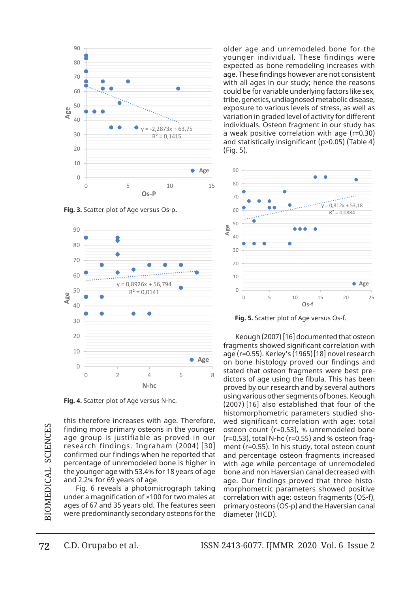

**Fig. 3.** Scatter plot of Age versus Os-p**.**



**Fig. 4.** Scatter plot of Age versus N-hc.

**Fig. 4.** Scatter plot of Age versus N-hc

this therefore increases with age. Therefore, finding more primary osteons in the younger age group is justifiable as proved in our research findings. Ingraham (2004) [30] confirmed our findings when he reported that percentage of unremodeled bone is higher in and percentage osteon fragments in  $\infty$  percentage of unremodeled bone is higher in with age while percentage of unrem  $\vec{z}$  | the younger age with 53.4% for 18 years of age bone and non Haversian canal decreas and 2.2% for 69 years of age.

 $\Xi$   $\vert$  Fig. 6 reveals a photomicrograph taking  $\,$  morphometric parameters showed p under a magnification of ×100 for two males at  $\geq$  | ages of 67 and 35 years old. The features seen primary osteons (OS-p) and the Haversia  $\left| \widetilde{\Xi} \right|$  were predominantly secondary osteons for the  $\,$  diameter (HCD).

older age and unremodeled bone for the younger individual. These findings were expected as bone remodeling increases with age. These findings however are not consistent with all ages in our study; hence the reasons could be for variable underlying factors like sex, tribe, genetics, undiagnosed metabolic disease, exposure to various levels of stress, as well as  $\blacksquare$  variation in graded level of activity for different individuals. Osteon fragment in our study has a again with a Georgia metabolic metabolic metabolic metabolic metabolic metabolic metabolic metabolic disease<br>a weak positive correlation with age (r=0.30) and statistically insignificant (p>0.05) (Table 4)  $\,$ (Fig. 5).  $p_1, p_2, p_3, q_4, q_5, q_6, q_7, q_8, q_9, q_1, q_2, q_3, q_4, q_7, q_8, q_9, q_1, q_2, q_3, q_4, q_7, q_8, q_9, q_9, q_1, q_2, q_3, q_4, q_7, q_8, q_9, q_9, q_1, q_2, q_3, q_4, q_7, q_8, q_9, q_1, q_2, q_3, q_4, q_6, q_7, q_8, q_9, q_1, q_2, q_3, q_4, q_6, q_7, q_8, q_9,$ 



**Fig. 5.** Scatter plot of Age versus Os-f.

 $\equiv$  age (r=0.55). Kerley's (1965)[18] novel research  $\overline{\phantom{a}}$  stated that osteon fragments were best predictors of age using the fibula. This has been proved by  $\alpha$ using various other segments of bones. Keough (2007) [10] also established that four of the histomorphometric parameters studied shoherefore, wed significant correlation with age: total  $\,$ fouriest control (recture (recture), to different control bond  $\mu$  or  $(r=0.53)$ , total N-hc (r=0.55) and % osteon frag-104) [30] ment (r=0.55). In his study, total osteon count decreased with age. Our finding proved the same higher in with age. While percentage of unremodeled irs of age  $\;$  bone and non Haversian canal decreased with h taking morphometric parameters showed positive at correlation with age: osteon fragments (OS-f),  $\alpha$  primary osteometer (HCD). The area of a rea of a rea of a rea of an area of an area of an area of area of  $\alpha$ Keough (2007) [16] documented that osteon fragments showed significant correlation with on bone histology proved our findings and proved by our research and by several authors (2007) [16] also established that four of the osteon count (r=0.53), % unremodeled bone and percentage osteon fragments increased age. Our findings proved that three histoprimary osteons (OS-p) and the Haversian canal

BIOMEDICAL SCIENCES

variation with age [40].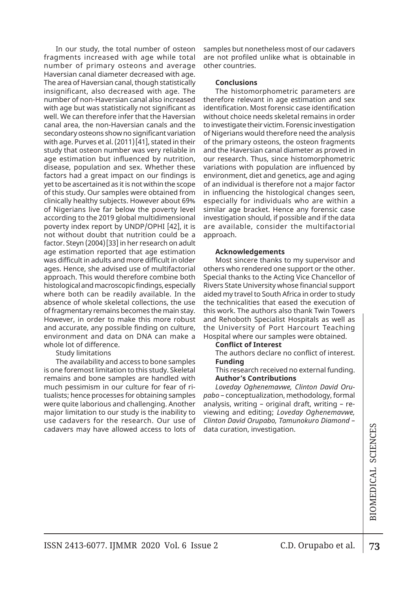In our study, the total number of osteon fragments increased with age while total number of primary osteons and average Haversian canal diameter decreased with age. The area of Haversian canal, though statistically insignificant, also decreased with age. The number of non-Haversian canal also increased with age but was statistically not significant as well. We can therefore infer that the Haversian canal area, the non-Haversian canals and the secondary osteons show no significant variation with age. Purves et al. (2011)[41], stated in their study that osteon number was very reliable in age estimation but influenced by nutrition, disease, population and sex. Whether these factors had a great impact on our findings is yet to be ascertained as it is not within the scope of this study. Our samples were obtained from clinically healthy subjects. However about 69% of Nigerians live far below the poverty level according to the 2019 global multidimensional poverty index report by UNDP/OPHI [42], it is not without doubt that nutrition could be a factor. Steyn (2004)[33] in her research on adult age estimation reported that age estimation was difficult in adults and more difficult in older ages. Hence, she advised use of multifactorial approach. This would therefore combine both histological and macroscopic findings, especially where both can be readily available. In the absence of whole skeletal collections, the use of fragmentary remains becomes the main stay. However, in order to make this more robust and accurate, any possible finding on culture, environment and data on DNA can make a whole lot of difference.

## Study limitations

The availability and access to bone samples is one foremost limitation to this study. Skeletal remains and bone samples are handled with much pessimism in our culture for fear of ritualists; hence processes for obtaining samples were quite laborious and challenging. Another major limitation to our study is the inability to use cadavers for the research. Our use of cadavers may have allowed access to lots of samples but nonetheless most of our cadavers are not profiled unlike what is obtainable in other countries.

## **Conclusions**

The histomorphometric parameters are therefore relevant in age estimation and sex identification. Most forensic case identification without choice needs skeletal remains in order to investigate their victim. Forensic investigation of Nigerians would therefore need the analysis of the primary osteons, the osteon fragments and the Haversian canal diameter as proved in our research. Thus, since histomorphometric variations with population are influenced by environment, diet and genetics, age and aging of an individual is therefore not a major factor in influencing the histological changes seen, especially for individuals who are within a similar age bracket. Hence any forensic case investigation should, if possible and if the data are available, consider the multifactorial approach.

#### **Acknowledgements**

Most sincere thanks to my supervisor and others who rendered one support or the other. Special thanks to the Acting Vice Chancellor of Rivers State University whose financial support aided my travel to South Africa in order to study the technicalities that eased the execution of this work. The authors also thank Twin Towers and Rehoboth Specialist Hospitals as well as the University of Port Harcourt Teaching Hospital where our samples were obtained.

# **Conflict of Interest**

The authors declare no conflict of interest. **Funding**

This research received no external funding. **Author's Contributions**

*Loveday Oghenemavwe, Clinton David Orupabo* – conceptualization, methodology, formal analysis, writing – original draft, writing – reviewing and editing; *Loveday Oghenemavwe, Clinton David Orupabo, Tamunokuro Diamond* – data curation, investigation.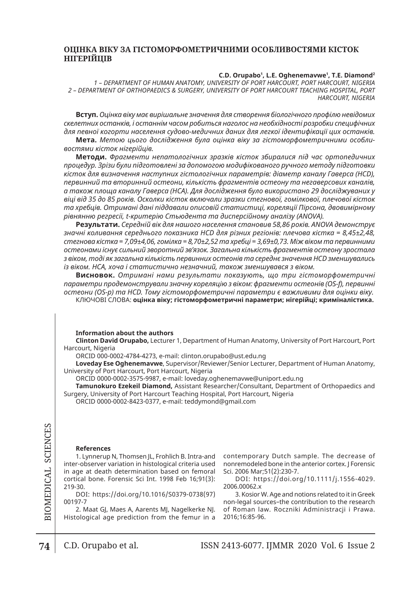# **ОЦІНКА ВІКУ ЗА ГІСТОМОРФОМЕТРИЧНИМИ ОСОБЛИВОСТЯМИ КІСТОК НІГЕРІЙЦІВ**

#### **C.D. Orupabo1 , L.E. Oghenemavwe1 , T.E. Diamond2**

*1 – DEPARTMENT OF HUMAN ANATOMY, UNIVERSITY OF PORT HARCOURT, PORT HARCOURT, NIGERIA 2 – DEPARTMENT OF ORTHOPAEDICS & SURGERY, UNIVERSITY OF PORT HARCOURT TEACHING HOSPITAL, PORT HARCOURT, NIGERIA*

**Вступ.** *Оцінка віку має вирішальне значення для створення біологічного профілю невідомих скелетних останків, і останнім часом робиться наголос на необхідності розробки специфічних для певної когорти населення судово-медичних даних для легкої ідентифікації цих останків.* **Мета.** *Метою цього дослідження була оцінка віку за гістоморфометричними особли-*

*востями кісток нігерійців.*

**Методи.** *Фрагменти непатологічних зразків кісток збиралися під час ортопедичних процедур. Зрізи були підготовлені за допомогою модифікованого ручного методу підготовки кісток для визначення наступних гістологічних параметрів: діаметр каналу Гаверса (HCD), первинний та вторинний остеони, кількість фрагментів остеону та негаверсових каналів, а також площа каналу Гаверса (HCA). Для дослідження було використано 29 досліджуваних у віці від 35 до 85 років. Осколки кісток включали зразки стегнової, гомілкової, плечової кісток та хребців. Отримані дані піддавали описовій статистиці, кореляції Пірсона, двовимірному рівнянню регресії, t-критерію Стьюдента та дисперсійному аналізу (ANOVA).*

**Результати.** *Середній вік для нашого населення становив 58,86 років. ANOVA демонструє значні коливання середнього показника HCD для різних регіонів: плечова кістка = 8,45±2,48, стегнова кістка = 7,09±4,06, гомілка = 8,70±2,52 та хребці = 3,69±0,73. Між віком та первинними остеонами існує сильний зворотний зв'язок. Загальна кількість фрагментів остеону зростала з віком, тоді як загальна кількість первинних остеонів та середнє значення HCD зменшувались із віком. HCA, хоча і статистично незначний, також зменшувався з віком.*

**Висновок.** *Отримані нами результати показують, що три гістоморфометричні параметри продемонстрували значну кореляцію з віком: фрагменти остеонів (OS-f), первинні остеони (OS-p) та HCD. Тому гістоморфометричні параметри є важливими для оцінки віку.* КЛЮЧОВІ СЛОВА: **оцінка віку; гістоморфометричні параметри; нігерійці; криміналістика.**

#### **Information about the authors**

**Clinton David Orupabo,** Lecturer 1, Department of Human Anatomy, University of Port Harcourt, Port Harcourt, Nigeria

ORCID 000-0002-4784-4273, e-mail: clinton.orupabo@ust.edu.ng

**Loveday Ese Oghenemavwe**, Supervisor/Reviewer/Senior Lecturer, Department of Human Anatomy, University of Port Harcourt, Port Harcourt, Nigeria

ORCID 0000-0002-3575-9987, e-mail: loveday.oghenemavwe@uniport.edu.ng

**Tamunokuro Ezekeil Diamond,** Assistant Researcher/Consultant, Department of Orthopaedics and Surgery, University of Port Harcourt Teaching Hospital, Port Harcourt, Nigeria

ORCID 0000-0002-8423-0377, e-mail: teddymond@gmail.com

#### **References**

1. Lynnerup N, Thomsen JL, Frohlich B. Intra-and inter-observer variation in histological criteria used in age at death determination based on femoral cortical bone. Forensic Sci Int. 1998 Feb 16;91(3): 219-30.

doi: https://doi.org/10.1016/S0379-0738(97) 00197-7

2. Maat GJ, Maes A, Aarents MJ, Nagelkerke NJ. Histological age prediction from the femur in a contemporary Dutch sample. The decrease of nonremodeled bone in the anterior cortex. J Forensic Sci. 2006 Mar;51(2):230-7.

doi: https://doi.org/10.1111/j.1556-4029. 2006.00062.x

3. Kosior W. Age and notions related to it in Greek non-legal sources–the contribution to the research of Roman law. Roczniki Administracji i Prawa. 2016;16:85-96.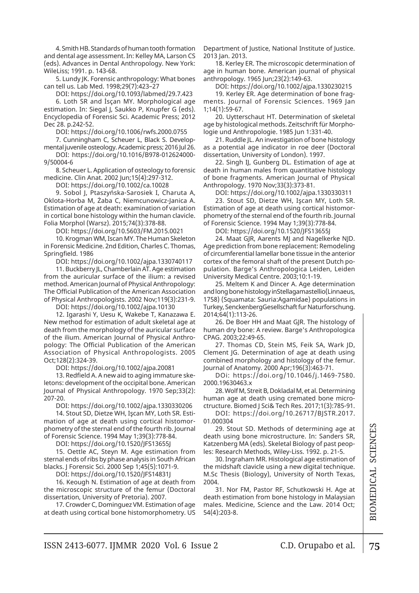4. Smith HB. Standards of human tooth formation and dental age assessment. In: Kelley MA, Larson CS (eds). Advances in Dental Anthropology. New York: WileLiss; 1991. p. 143-68.

5. Lundy JK. Forensic anthropology: What bones can tell us. Lab Med. 1998;29(7):423–27

doi: https://doi.org/10.1093/labmed/29.7.423

6. Loth SR and İsçan MY. Morphological age estimation. In: Siegal J, Saukko P, Knupfer G (eds). Encyclopedia of Forensic Sci. Academic Press; 2012 Dec 28. p.242-52.

doi: https://doi.org/10.1006/rwfs.2000.0755

7. Cunningham C, Scheuer L, Black S. Developmental juvenile osteology. Academic press; 2016 Jul 26.

doi: https://doi.org/10.1016/B978-012624000- 9/50004-6

8. Scheuer L. Application of osteology to forensic medicine. Clin Anat. 2002 Jun;15(4):297-312.

doi: https://doi.org/10.1002/ca.10028

9. Sobol J, Ptaszyńska-Sarosiek I, Charuta A, Oklota-Horba M, Żaba C, Niemcunowicz-Janica A. Estimation of age at death: examination of variation in cortical bone histology within the human clavicle. Folia Morphol (Warsz). 2015;74(3):378-88.

doi: https://doi.org/10.5603/FM.2015.0021

10. Krogman WM, Iscan MY. The Human Skeleton in Forensic Medicine. 2nd Edition, Charles C. Thomas, Springfield. 1986

doi: https://doi.org/10.1002/ajpa.1330740117

11. Buckberry JL, Chamberlain AT. Age estimation from the auricular surface of the ilium: a revised method. American Journal of Physical Anthropology: The Official Publication of the American Association of Physical Anthropologists. 2002 Nov;119(3):231-9.

doi: https://doi.org/10.1002/ajpa.10130

12. Igarashi Y, Uesu K, Wakebe T, Kanazawa E. New method for estimation of adult skeletal age at death from the morphology of the auricular surface of the ilium. American Journal of Physical Anthropology: The Official Publication of the American Association of Physical Anthropologists. 2005 Oct;128(2):324-39.

doi: https://doi.org/10.1002/ajpa.20081

13. Redfield A. A new aid to aging immature skeletons: development of the occipital bone. American Journal of Physical Anthropology. 1970 Sep;33(2): 207-20.

doi: https://doi.org/10.1002/ajpa.1330330206

14. Stout SD, Dietze WH, Işcan MY, Loth SR. Estimation of age at death using cortical histomorphometry of the sternal end of the fourth rib. Journal of Forensic Science. 1994 May 1;39(3):778-84.

doi: https://doi.org/10.1520/JFS13655J

15. Oettle AC, Steyn M. Age estimation from sternal ends of ribs by phase analysis in South African blacks. J Forensic Sci. 2000 Sep 1;45(5):1071-9.

doi: https://doi.org/10.1520/JFS14831J

16. Keough N. Estimation of age at death from the microscopic structure of the femur (Doctoral dissertation, University of Pretoria). 2007.

17. Crowder C, Dominguez VM. Estimation of age at death using cortical bone histomorphometry. US Department of Justice, National Institute of Justice. 2013 Jan. 2013.

18. Kerley ER. The microscopic determination of age in human bone. American journal of physical anthropology. 1965 Jun;23(2):149-63.

doi: https://doi.org/10.1002/ajpa.1330230215

19. Kerley ER. Age determination of bone fragments. Journal of Forensic Sciences. 1969 Jan 1;14(1):59-67.

20. Uytterschaut HT. Determination of skeletal age by histological methods. Zeitschrift für Morphologie und Anthropologie. 1985 Jun 1:331-40.

21. Ruddle JL. An investigation of bone histology as a potential age indicator in roe deer (Doctoral dissertation, University of London). 1997.

22. Singh IJ, Gunberg DL. Estimation of age at death in human males from quantitative histology of bone fragments. American Journal of Physical Anthropology. 1970 Nov;33(3):373-81.

doi: https://doi.org/10.1002/ajpa.1330330311

23. Stout SD, Dietze WH, Işcan MY, Loth SR. Estimation of age at death using cortical histomorphometry of the sternal end of the fourth rib. Journal of Forensic Science. 1994 May 1;39(3):778-84.

doi: https://doi.org/10.1520/JFS13655J

24. Maat GJR, Aarents MJ and Nagelkerke NJD. Age prediction from bone replacement: Remodeling of circumferential lamellar bone tissue in the anterior cortex of the femoral shaft of the present Dutch population. Barge's Anthropologica Leiden, Leiden University Medical Centre. 2003;10:1-19.

25. Meltem K and Dincer A. Age determination and long bone histology inStellagamastellio(Linnaeus, 1758) (Squamata: Sauria:Agamidae) populations in Turkey, SenckenbergGesellschaft fur Naturforschung. 2014;64(1):113-26.

26. De Boer HH and Maat GJR. The histology of human dry bone: A review. Barge's Anthropologica CPAG. 2003;22:49-65.

27. Thomas CD, Stein MS, Feik SA, Wark JD, Clement JG. Determination of age at death using combined morphology and histology of the femur. Journal of Anatomy. 2000 Apr;196(3):463-71.

doi: https://doi.org/10.1046/j.1469-7580. 2000.19630463.x

28. Wolf M, Streit B, Dokladal M, et al. Determining human age at death using cremated bone microctructure. Biomed J Sci& Tech Res. 2017;1(3):785-91.

doi: https://doi.org/10.26717/BJSTR.2017. 01.000304

29. Stout SD. Methods of determining age at death using bone microstructure. In: Sanders SR, Katzenberg MA (eds). Skeletal Biology of past peoples: Research Methods, Wiley-Liss. 1992. p. 21-5.

30. Ingraham MR. Histological age estimation of the midshaft clavicle using a new digital technique. M.Sc Thesis (Biology), University of North Texas, 2004.

31. Nor FM, Pastor RF, Schutkowski H. Age at death estimation from bone histology in Malaysian males. Medicine, Science and the Law. 2014 Oct; 54(4):203-8.

75

s